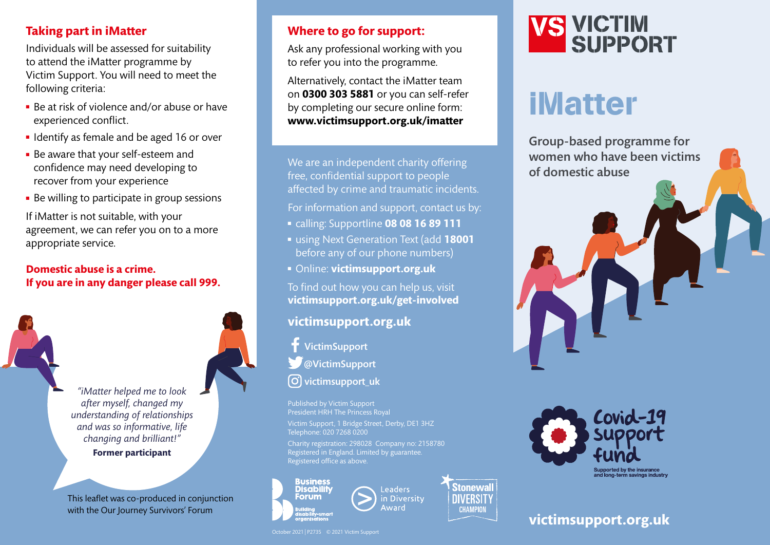### **Taking part in iMatter**

Individuals will be assessed for suitability to attend the iMatter programme by Victim Support. You will need to meet the following criteria:

- Be at risk of violence and/or abuse or have experienced conflict.
- **Example 16 or over** I dentify as female and be aged 16 or over
- Be aware that your self-esteem and confidence may need developing to recover from your experience
- Be willing to participate in group sessions

If iMatter is not suitable, with your agreement, we can refer you on to a more appropriate service.

### **Domestic abuse is a crime. If you are in any danger please call 999.**

*"iMatter helped me to look after myself, changed my understanding of relationships and was so informative, life changing and brilliant!"* **Former participant**

This leaflet was co-produced in conjunction with the Our Journey Survivors' Forum

### **Where to go for support:**

Ask any professional working with you to refer you into the programme.

Alternatively, contact the iMatter team on **0300 303 5881** or you can self-refer by completing our secure online form: **[www.victimsupport.org.uk/imatter](https://www.victimsupport.org.uk/more-us/why-choose-us/specialist-services/imatter/)**

We are an independent charity offering free, confidential support to people affected by crime and traumatic incidents.

For information and support, contact us by:

- <sup>n</sup> calling: Supportline **08 08 16 89 111**
- **using Next Generation Text (add 18001** before any of our phone numbers)
- **n** Online: **[victimsupport.org.uk](https://www.victimsupport.org.uk)**

To find out how you can help us, visit **[victimsupport.org.uk/get-involved](https://www.victimsupport.org.uk/get-involved/)**

### **[victimsupport.org.uk](https://www.victimsupport.org.uk)**



[victimsupport\\_uk](https://www.instagram.com/victimsupport_uk/)

Published by Victim Support

Victim Support, 1 Bridge Street, Derby, DE1 3HZ Telephone: 020 7268 0200

Charity registration: 298028 Company no: 2158780 Registered in England. Limited by guarantee. Registered office as above.



Leaders in Diversity Award

**Stonewall** 

**DIVERSITY** 

**CHAMPION** 

#### October 2021 | P2735 © 2021 Victim Support

# **VS VICTIM<br>SUPPORT**

## iMatter

Group-based programme for women who have been victims of domestic abuse





### **[victimsupport.org.uk](https://www.victimsupport.org.uk)**